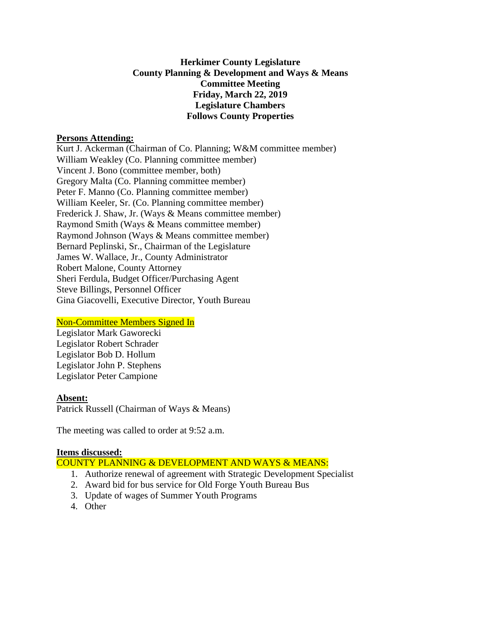## **Herkimer County Legislature County Planning & Development and Ways & Means Committee Meeting Friday, March 22, 2019 Legislature Chambers Follows County Properties**

#### **Persons Attending:**

Kurt J. Ackerman (Chairman of Co. Planning; W&M committee member) William Weakley (Co. Planning committee member) Vincent J. Bono (committee member, both) Gregory Malta (Co. Planning committee member) Peter F. Manno (Co. Planning committee member) William Keeler, Sr. (Co. Planning committee member) Frederick J. Shaw, Jr. (Ways & Means committee member) Raymond Smith (Ways & Means committee member) Raymond Johnson (Ways & Means committee member) Bernard Peplinski, Sr., Chairman of the Legislature James W. Wallace, Jr., County Administrator Robert Malone, County Attorney Sheri Ferdula, Budget Officer/Purchasing Agent Steve Billings, Personnel Officer Gina Giacovelli, Executive Director, Youth Bureau

## Non-Committee Members Signed In

Legislator Mark Gaworecki Legislator Robert Schrader Legislator Bob D. Hollum Legislator John P. Stephens Legislator Peter Campione

## **Absent:**

Patrick Russell (Chairman of Ways & Means)

The meeting was called to order at 9:52 a.m.

## **Items discussed:**

COUNTY PLANNING & DEVELOPMENT AND WAYS & MEANS:

- 1. Authorize renewal of agreement with Strategic Development Specialist
- 2. Award bid for bus service for Old Forge Youth Bureau Bus
- 3. Update of wages of Summer Youth Programs
- 4. Other